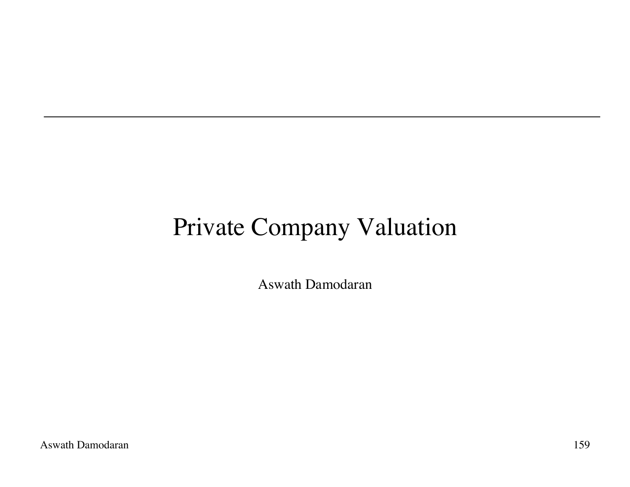# Private Company Valuation

Aswath Damodaran

Aswath Damodaran 159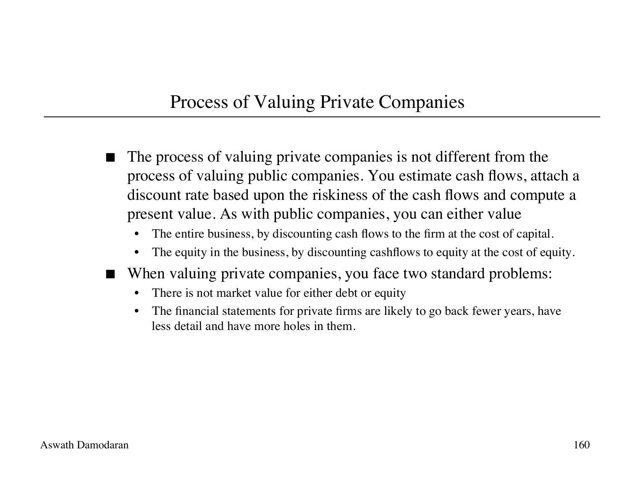#### Process of Valuing Private Companies

- The process of valuing private companies is not different from the process of valuing public companies. You estimate cash flows, attach a discount rate based upon the riskiness of the cash flows and compute a present value. As with public companies, you can either value
	- The entire business, by discounting cash flows to the firm at the cost of capital.
	- The equity in the business, by discounting cashflows to equity at the cost of equity.
- When valuing private companies, you face two standard problems:
	- There is not market value for either debt or equity
	- The financial statements for private firms are likely to go back fewer years, have less detail and have more holes in them.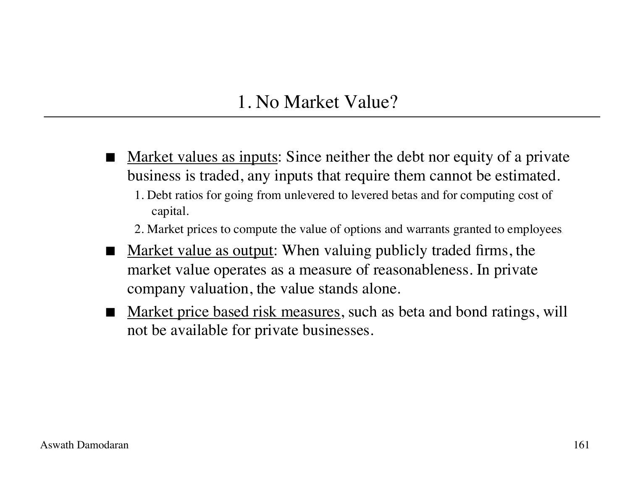#### 1. No Market Value?

 Market values as inputs: Since neither the debt nor equity of a private business is traded, any inputs that require them cannot be estimated. 1. Debt ratios for going from unlevered to levered betas and for computing cost of

capital.

2. Market prices to compute the value of options and warrants granted to employees.

- Market value as output: When valuing publicly traded firms, the market value operates as a measure of reasonableness. In private company valuation, the value stands alone.
- Market price based risk measures, such as beta and bond ratings, will not be available for private businesses.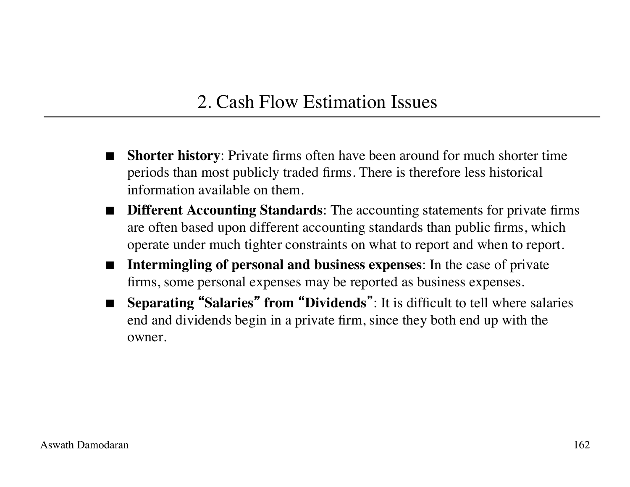### 2. Cash Flow Estimation Issues

- **Shorter history**: Private firms often have been around for much shorter time periods than most publicly traded firms. There is therefore less historical information available on them.
- **Different Accounting Standards:** The accounting statements for private firms are often based upon different accounting standards than public firms, which operate under much tighter constraints on what to report and when to report.
- **Intermingling of personal and business expenses**: In the case of private firms, some personal expenses may be reported as business expenses.
- **Separating** "**Salaries**" **from** "**Dividends**": It is difficult to tell where salaries end and dividends begin in a private firm, since they both end up with the owner.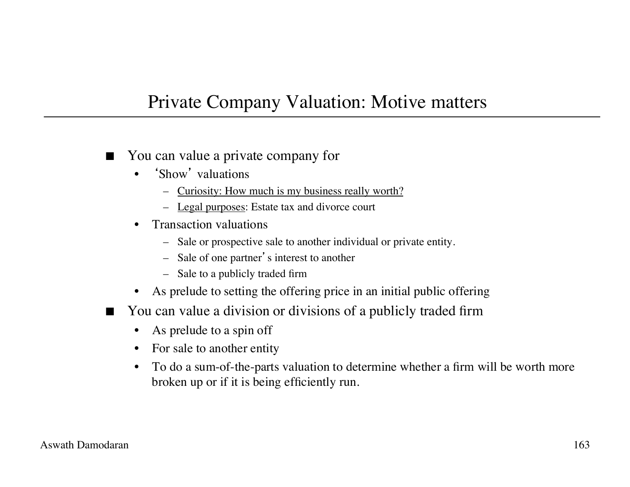#### Private Company Valuation: Motive matters

- You can value a private company for
	- 'Show' valuations
		- Curiosity: How much is my business really worth?
		- Legal purposes: Estate tax and divorce court
	- Transaction valuations
		- Sale or prospective sale to another individual or private entity.
		- Sale of one partner's interest to another
		- Sale to a publicly traded firm
	- As prelude to setting the offering price in an initial public offering
- You can value a division or divisions of a publicly traded firm
	- As prelude to a spin off
	- For sale to another entity
	- To do a sum-of-the-parts valuation to determine whether a firm will be worth more broken up or if it is being efficiently run.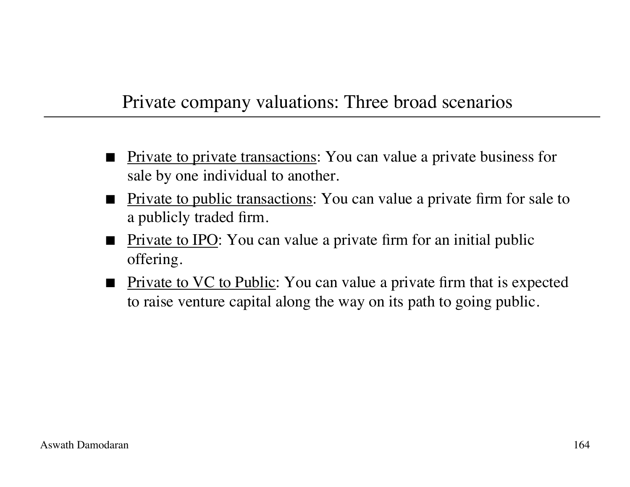#### Private company valuations: Three broad scenarios

- **Private to private transactions:** You can value a private business for sale by one individual to another.
- **Private to public transactions:** You can value a private firm for sale to a publicly traded firm.
- Private to IPO: You can value a private firm for an initial public offering.
- Private to VC to Public: You can value a private firm that is expected to raise venture capital along the way on its path to going public.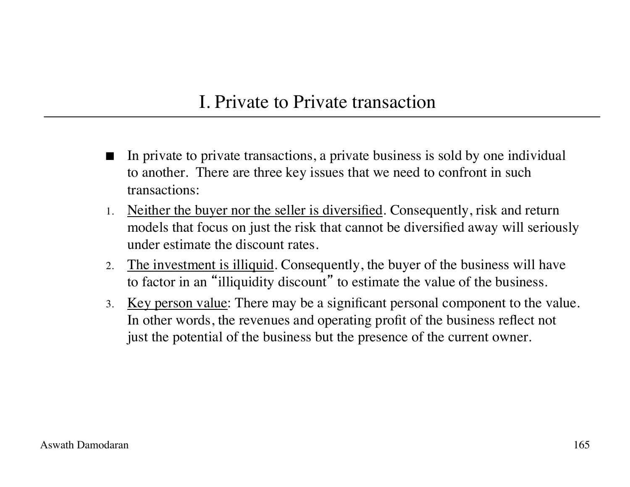#### I. Private to Private transaction

- In private to private transactions, a private business is sold by one individual to another. There are three key issues that we need to confront in such transactions:
- 1. Neither the buyer nor the seller is diversified. Consequently, risk and return models that focus on just the risk that cannot be diversified away will seriously under estimate the discount rates.
- 2. The investment is illiquid. Consequently, the buyer of the business will have to factor in an "illiquidity discount" to estimate the value of the business.
- 3. Key person value: There may be a significant personal component to the value. In other words, the revenues and operating profit of the business reflect not just the potential of the business but the presence of the current owner.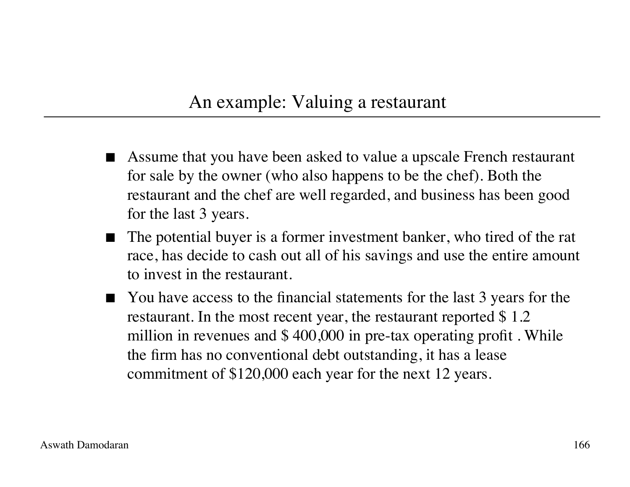#### An example: Valuing a restaurant

- Assume that you have been asked to value a upscale French restaurant for sale by the owner (who also happens to be the chef). Both the restaurant and the chef are well regarded, and business has been good for the last 3 years.
- The potential buyer is a former investment banker, who tired of the rat race, has decide to cash out all of his savings and use the entire amount to invest in the restaurant.
- You have access to the financial statements for the last 3 years for the restaurant. In the most recent year, the restaurant reported \$ 1.2 million in revenues and \$ 400,000 in pre-tax operating profit . While the firm has no conventional debt outstanding, it has a lease commitment of \$120,000 each year for the next 12 years.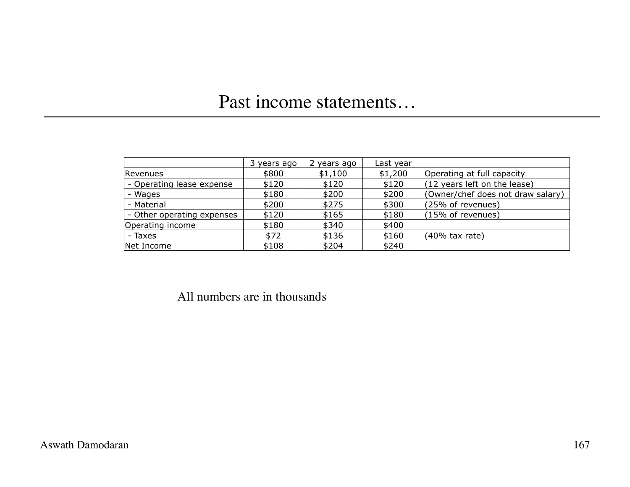### Past income statements…

|                            | 3 years ago | years ago | Last year |                                                |
|----------------------------|-------------|-----------|-----------|------------------------------------------------|
| Revenues                   | \$800       | \$1,100   | \$1,200   | Operating at full capacity                     |
| - Operating lease expense  | \$120       | \$120     | \$120     | $(12 \text{ years} \text{ left on the lease})$ |
| - Wages                    | \$180       | \$200     | \$200     | (Owner/chef does not draw salary)              |
| - Material                 | \$200       | \$275     | \$300     | (25% of revenues)                              |
| - Other operating expenses | \$120       | \$165     | \$180     | $(15\% \text{ of revenues})$                   |
| Operating income           | \$180       | \$340     | \$400     |                                                |
| - Taxes                    | \$72        | \$136     | \$160     | $(40\%$ tax rate)                              |
| Net Income                 | \$108       | \$204     | \$240     |                                                |

All numbers are in thousands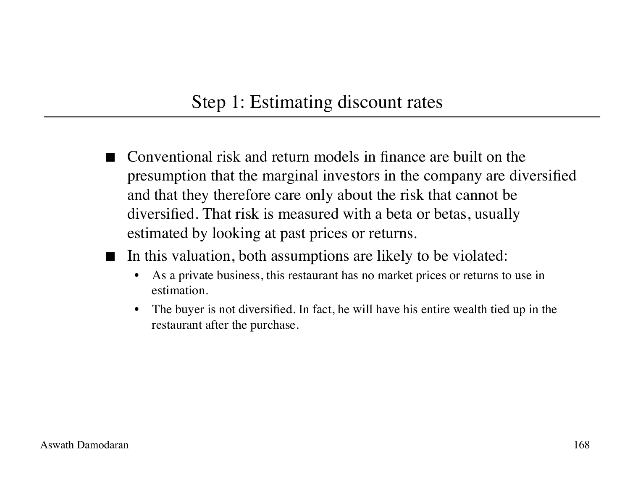#### Step 1: Estimating discount rates

- Conventional risk and return models in finance are built on the presumption that the marginal investors in the company are diversified and that they therefore care only about the risk that cannot be diversified. That risk is measured with a beta or betas, usually estimated by looking at past prices or returns.
- In this valuation, both assumptions are likely to be violated:
	- As a private business, this restaurant has no market prices or returns to use in estimation.
	- The buyer is not diversified. In fact, he will have his entire wealth tied up in the restaurant after the purchase.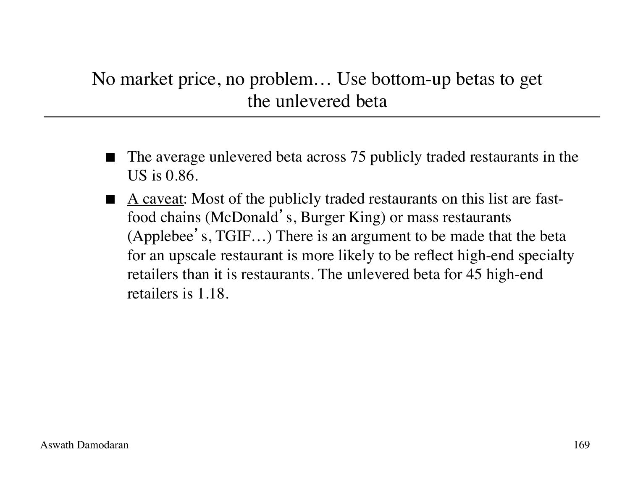### No market price, no problem… Use bottom-up betas to get the unlevered beta

- The average unlevered beta across 75 publicly traded restaurants in the US is 0.86.
- A caveat: Most of the publicly traded restaurants on this list are fastfood chains (McDonald's, Burger King) or mass restaurants (Applebee's, TGIF…) There is an argument to be made that the beta for an upscale restaurant is more likely to be reflect high-end specialty retailers than it is restaurants. The unlevered beta for 45 high-end retailers is 1.18.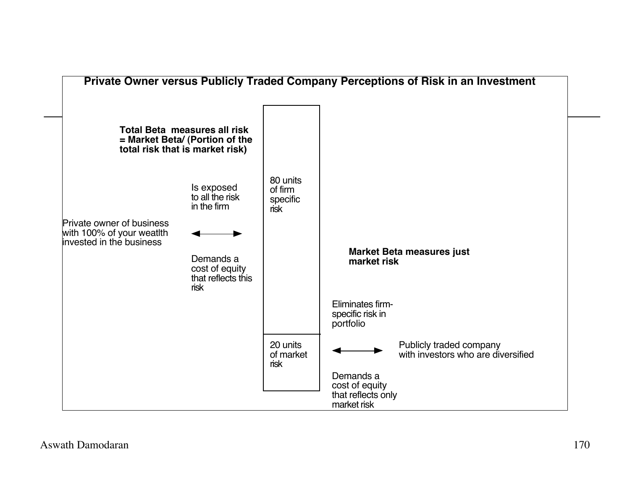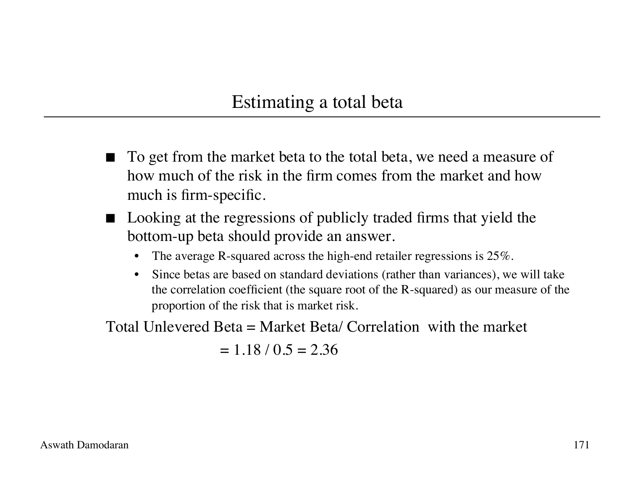#### Estimating a total beta

- To get from the market beta to the total beta, we need a measure of how much of the risk in the firm comes from the market and how much is firm-specific.
- Looking at the regressions of publicly traded firms that yield the bottom-up beta should provide an answer.
	- The average R-squared across the high-end retailer regressions is  $25\%$ .
	- Since betas are based on standard deviations (rather than variances), we will take the correlation coefficient (the square root of the R-squared) as our measure of the proportion of the risk that is market risk.

Total Unlevered Beta = Market Beta/ Correlation with the market

 $= 1.18 / 0.5 = 2.36$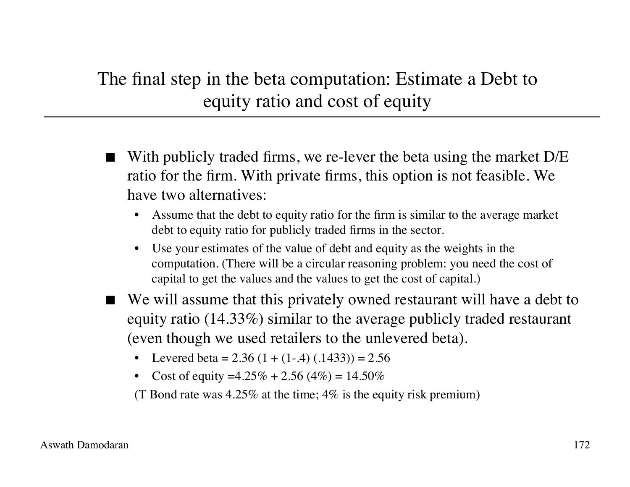### The final step in the beta computation: Estimate a Debt to equity ratio and cost of equity

- With publicly traded firms, we re-lever the beta using the market D/E ratio for the firm. With private firms, this option is not feasible. We have two alternatives:
	- Assume that the debt to equity ratio for the firm is similar to the average market debt to equity ratio for publicly traded firms in the sector.
	- Use your estimates of the value of debt and equity as the weights in the computation. (There will be a circular reasoning problem: you need the cost of capital to get the values and the values to get the cost of capital.)
- We will assume that this privately owned restaurant will have a debt to equity ratio (14.33%) similar to the average publicly traded restaurant (even though we used retailers to the unlevered beta).
	- Levered beta =  $2.36(1 + (1-0.4) (0.1433)) = 2.56$
	- Cost of equity =4.25\% + 2.56 (4\%) = 14.50\%

(T Bond rate was 4.25% at the time; 4% is the equity risk premium)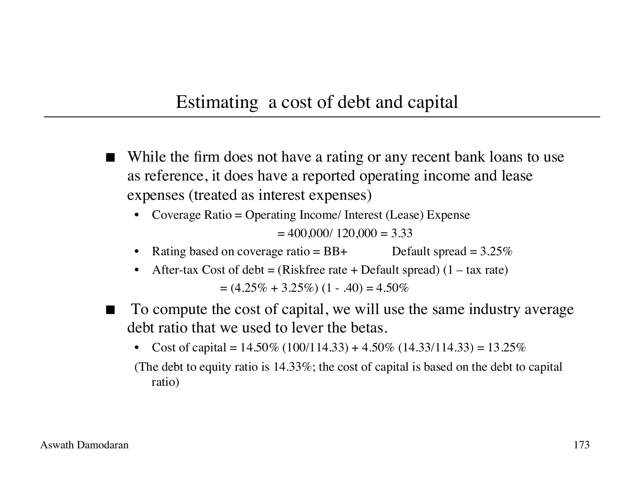#### Estimating a cost of debt and capital

- While the firm does not have a rating or any recent bank loans to use as reference, it does have a reported operating income and lease expenses (treated as interest expenses)
	- Coverage Ratio = Operating Income/ Interest (Lease) Expense  $= 400,000/ 120,000 = 3.33$
	- Rating based on coverage ratio =  $BB+$  Default spread =  $3.25\%$
	- After-tax Cost of debt = (Riskfree rate + Default spread)  $(1 \text{tax rate})$  $= (4.25\% + 3.25\%) (1 - .40) = 4.50\%$
- To compute the cost of capital, we will use the same industry average debt ratio that we used to lever the betas.
	- Cost of capital =  $14.50\%$  (100/114.33) +  $4.50\%$  (14.33/114.33) =  $13.25\%$
	- (The debt to equity ratio is 14.33%; the cost of capital is based on the debt to capital ratio)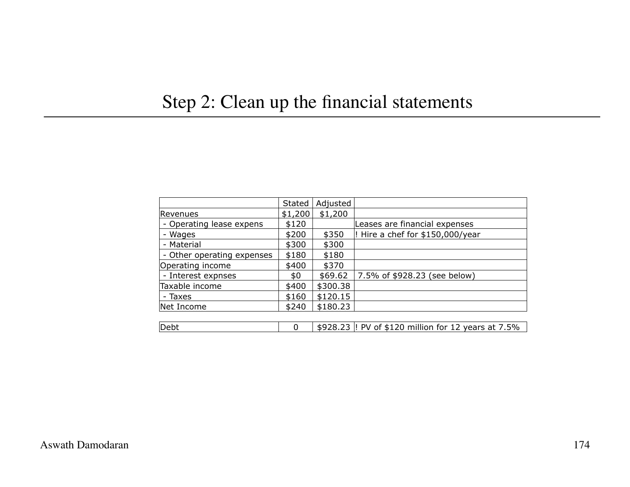### Step 2: Clean up the financial statements

|                            | Stated  | Adjusted |                                                      |
|----------------------------|---------|----------|------------------------------------------------------|
| lRevenues                  | \$1,200 | \$1,200  |                                                      |
| - Operating lease expens   | \$120   |          | Leases are financial expenses                        |
| - Wages                    | \$200   | \$350    | ! Hire a chef for \$150,000/year                     |
| - Material                 | \$300   | \$300    |                                                      |
| - Other operating expenses | \$180   | \$180    |                                                      |
| Operating income           | \$400   | \$370    |                                                      |
| - Interest expnses         | \$0     | \$69.62  | 7.5% of \$928.23 (see below)                         |
| Taxable income             | \$400   | \$300.38 |                                                      |
| - Taxes                    | \$160   | \$120.15 |                                                      |
| Net Income                 | \$240   | \$180.23 |                                                      |
|                            |         |          |                                                      |
| Debt                       | 0       |          | \$928.23  ! PV of \$120 million for 12 years at 7.5% |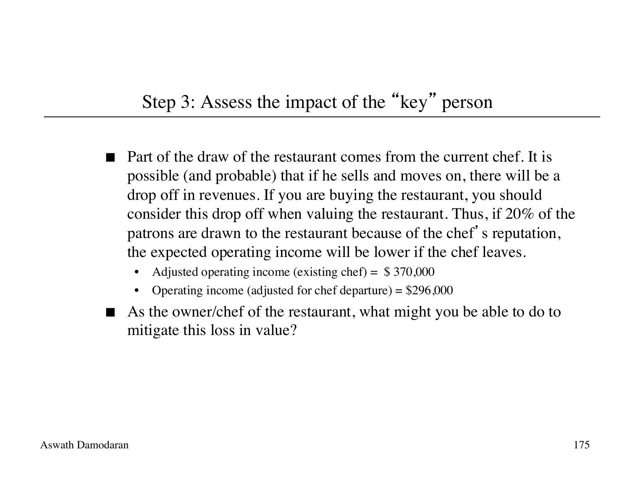### Step 3: Assess the impact of the "key" person

- Part of the draw of the restaurant comes from the current chef. It is possible (and probable) that if he sells and moves on, there will be a drop off in revenues. If you are buying the restaurant, you should consider this drop off when valuing the restaurant. Thus, if 20% of the patrons are drawn to the restaurant because of the chef's reputation, the expected operating income will be lower if the chef leaves.
	- Adjusted operating income (existing chef) =  $$370,000$
	- Operating income (adjusted for chef departure) =  $$296,000$
- As the owner/chef of the restaurant, what might you be able to do to mitigate this loss in value?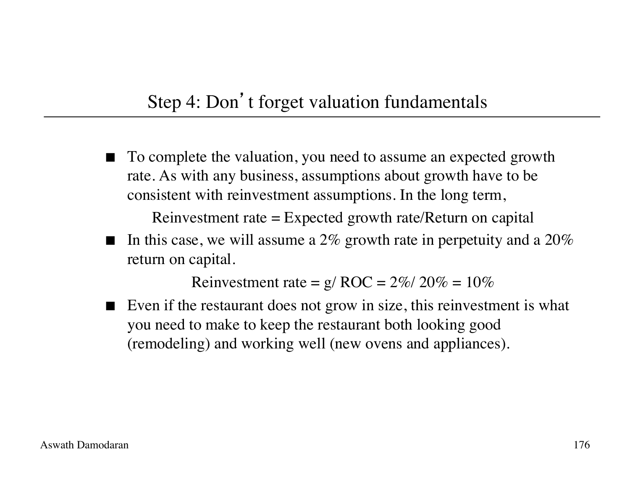### Step 4: Don't forget valuation fundamentals

 To complete the valuation, you need to assume an expected growth rate. As with any business, assumptions about growth have to be consistent with reinvestment assumptions. In the long term,

Reinvestment rate = Expected growth rate/Return on capital

In this case, we will assume a 2% growth rate in perpetuity and a 20% return on capital.

Reinvestment rate =  $g/ROC = 2\%/20\% = 10\%$ 

Even if the restaurant does not grow in size, this reinvestment is what you need to make to keep the restaurant both looking good (remodeling) and working well (new ovens and appliances).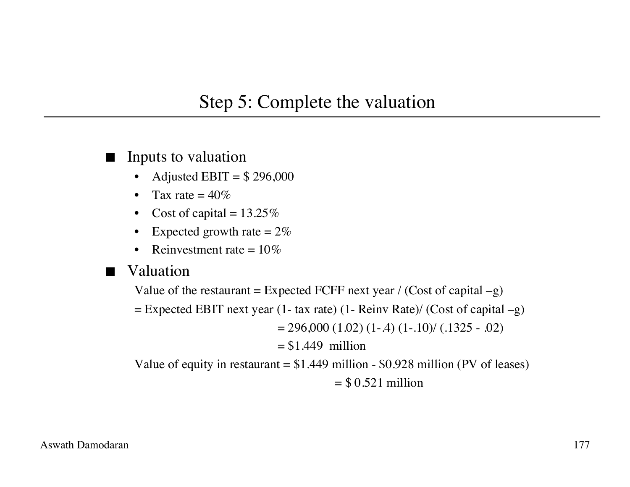#### Step 5: Complete the valuation

- **I** Inputs to valuation
	- Adjusted EBIT =  $$296,000$
	- Tax rate  $= 40\%$
	- Cost of capital =  $13.25\%$
	- Expected growth rate  $= 2\%$
	- Reinvestment rate  $= 10\%$
- **N** Valuation

Value of the restaurant = Expected FCFF next year / (Cost of capital  $-g$ )

 $=$  Expected EBIT next year (1- tax rate) (1- Reinv Rate)/ (Cost of capital  $-g$ )

 $= 296,000 (1.02) (1-.4) (1-.10) (1.1325 - .02)$ 

 $= $1.449$  million

Value of equity in restaurant  $= $1.449$  million - \$0.928 million (PV of leases)  $=$  \$ 0.521 million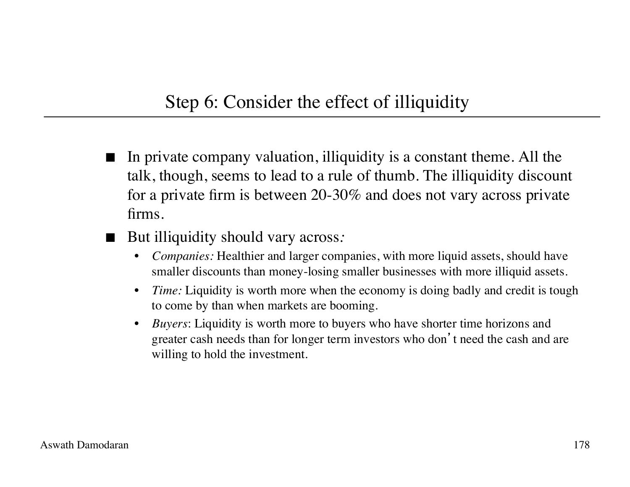#### Step 6: Consider the effect of illiquidity

- In private company valuation, illiquidity is a constant theme. All the talk, though, seems to lead to a rule of thumb. The illiquidity discount for a private firm is between 20-30% and does not vary across private firms.
- But illiquidity should vary across:
	- *Companies:* Healthier and larger companies, with more liquid assets, should have smaller discounts than money-losing smaller businesses with more illiquid assets.
	- *Time:* Liquidity is worth more when the economy is doing badly and credit is tough to come by than when markets are booming.
	- *Buyers*: Liquidity is worth more to buyers who have shorter time horizons and greater cash needs than for longer term investors who don't need the cash and are willing to hold the investment.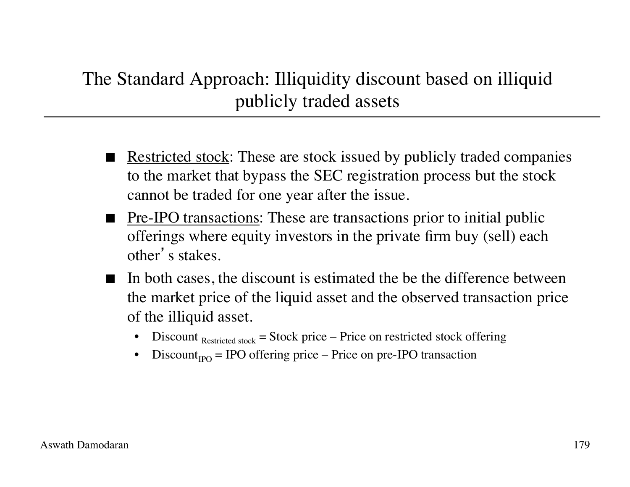### The Standard Approach: Illiquidity discount based on illiquid publicly traded assets

- Restricted stock: These are stock issued by publicly traded companies to the market that bypass the SEC registration process but the stock cannot be traded for one year after the issue.
- **Pre-IPO transactions:** These are transactions prior to initial public offerings where equity investors in the private firm buy (sell) each other's stakes.
- In both cases, the discount is estimated the be the difference between the market price of the liquid asset and the observed transaction price of the illiquid asset.
	- Discount  $_{\text{Restricted stock}}$  = Stock price Price on restricted stock offering
	- $Discount_{\text{P}} = \text{IPO}$  offering price Price on pre-IPO transaction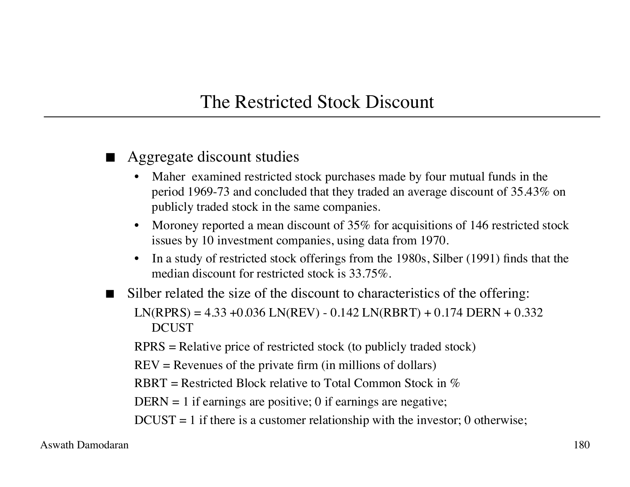#### The Restricted Stock Discount

- Aggregate discount studies
	- Maher examined restricted stock purchases made by four mutual funds in the period 1969-73 and concluded that they traded an average discount of 35.43% on publicly traded stock in the same companies.
	- Moroney reported a mean discount of 35% for acquisitions of 146 restricted stock issues by 10 investment companies, using data from 1970.
	- In a study of restricted stock offerings from the 1980s, Silber (1991) finds that the median discount for restricted stock is 33.75%.
- Silber related the size of the discount to characteristics of the offering:  $LN(RPRS) = 4.33 + 0.036 LN(REV) - 0.142 LN(RBRT) + 0.174 DEN + 0.332$ DCUST
	- RPRS = Relative price of restricted stock (to publicly traded stock)
	- $REV =$  Revenues of the private firm (in millions of dollars)
	- RBRT = Restricted Block relative to Total Common Stock in  $\%$
	- DERN  $=$  1 if earnings are positive; 0 if earnings are negative;
	- $DCUST = 1$  if there is a customer relationship with the investor; 0 otherwise;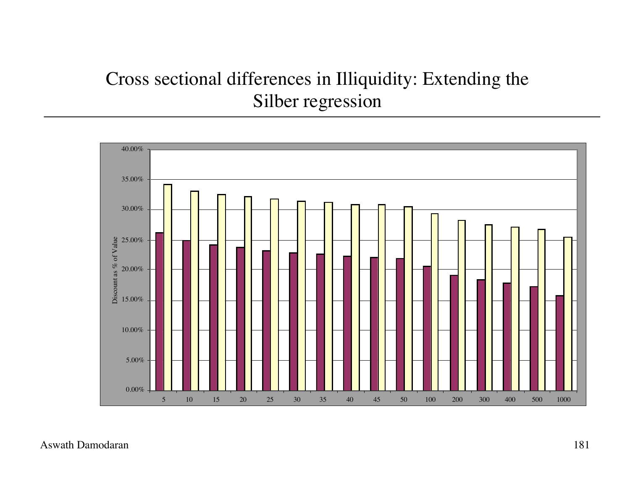### Cross sectional differences in Illiquidity: Extending the Silber regression

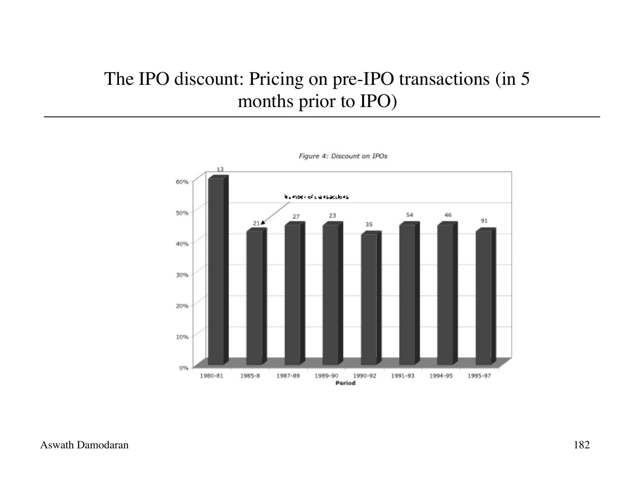### The IPO discount: Pricing on pre-IPO transactions (in 5 months prior to IPO)



Figure 4: Discount on IPOs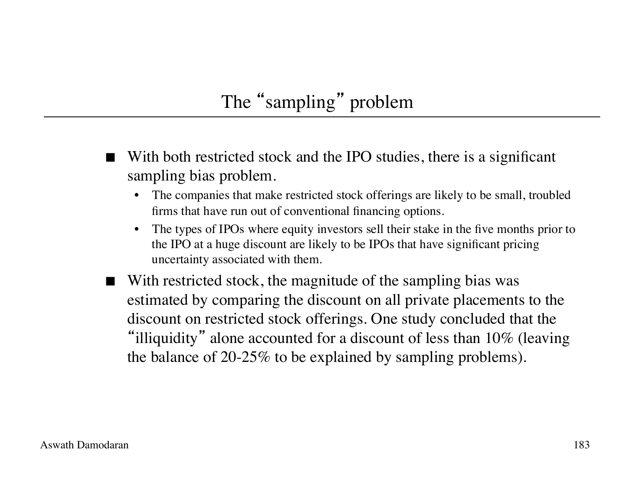# The "sampling" problem

- With both restricted stock and the IPO studies, there is a significant sampling bias problem.
	- The companies that make restricted stock offerings are likely to be small, troubled firms that have run out of conventional financing options.
	- The types of IPOs where equity investors sell their stake in the five months prior to the IPO at a huge discount are likely to be IPOs that have significant pricing uncertainty associated with them.
- With restricted stock, the magnitude of the sampling bias was estimated by comparing the discount on all private placements to the discount on restricted stock offerings. One study concluded that the "illiquidity" alone accounted for a discount of less than  $10\%$  (leaving the balance of 20-25% to be explained by sampling problems).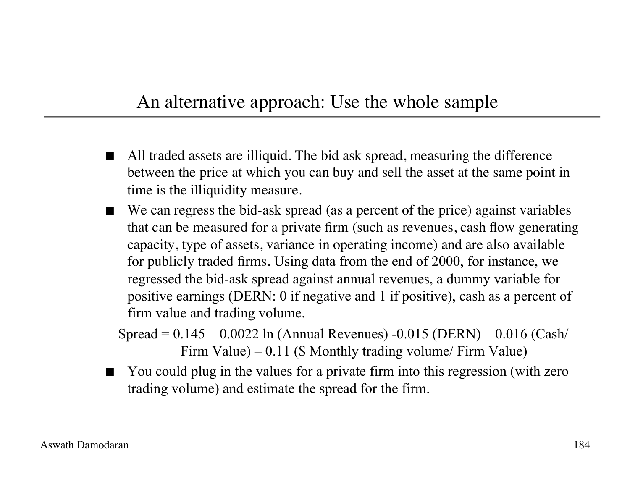#### An alternative approach: Use the whole sample

- All traded assets are illiquid. The bid ask spread, measuring the difference between the price at which you can buy and sell the asset at the same point in time is the illiquidity measure.
- We can regress the bid-ask spread (as a percent of the price) against variables that can be measured for a private firm (such as revenues, cash flow generating capacity, type of assets, variance in operating income) and are also available for publicly traded firms. Using data from the end of 2000, for instance, we regressed the bid-ask spread against annual revenues, a dummy variable for positive earnings (DERN: 0 if negative and 1 if positive), cash as a percent of firm value and trading volume.
	- Spread = 0.145 0.0022 ln (Annual Revenues) -0.015 (DERN) 0.016 (Cash/ Firm Value) – 0.11 (\$ Monthly trading volume/ Firm Value)
- You could plug in the values for a private firm into this regression (with zero trading volume) and estimate the spread for the firm.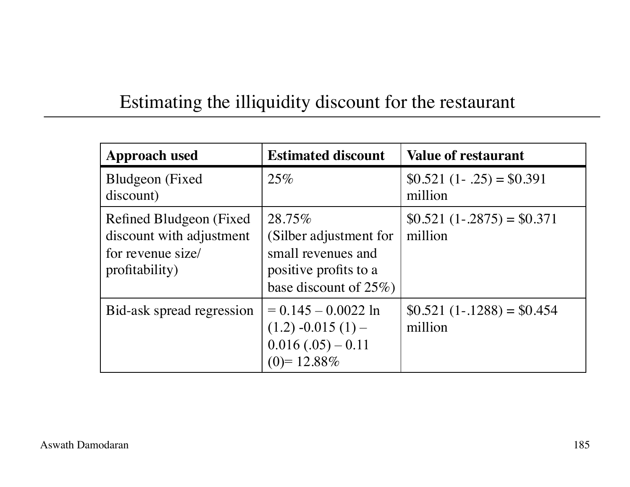### Estimating the illiquidity discount for the restaurant

| <b>Approach used</b>                                                                        | <b>Estimated discount</b>                                                                                    | <b>Value of restaurant</b>             |
|---------------------------------------------------------------------------------------------|--------------------------------------------------------------------------------------------------------------|----------------------------------------|
| Bludgeon (Fixed)<br>discount)                                                               | 25%                                                                                                          | $$0.521 (1-.25) = $0.391$<br>million   |
| Refined Bludgeon (Fixed)<br>discount with adjustment<br>for revenue size/<br>profitability) | 28.75%<br>(Silber adjustment for<br>small revenues and<br>positive profits to a<br>base discount of $25\%$ ) | $$0.521 (1-.2875) = $0.371$<br>million |
| Bid-ask spread regression                                                                   | $= 0.145 - 0.0022$ ln<br>$(1.2) -0.015(1) -$<br>$0.016(.05) - 0.11$<br>$(0)=12.88\%$                         | $$0.521 (1-.1288) = $0.454$<br>million |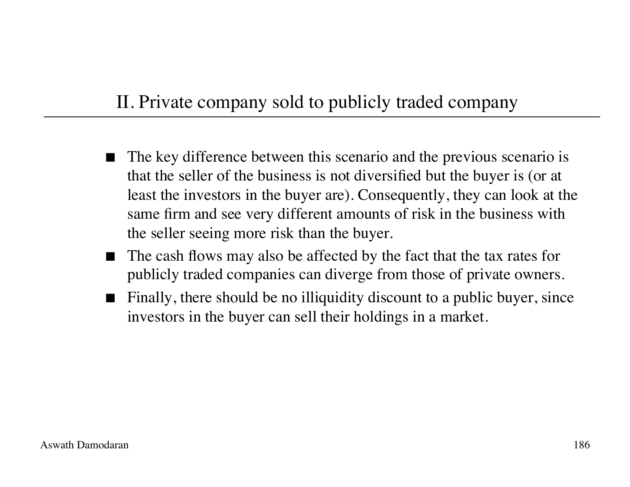### II. Private company sold to publicly traded company

- The key difference between this scenario and the previous scenario is that the seller of the business is not diversified but the buyer is (or at least the investors in the buyer are). Consequently, they can look at the same firm and see very different amounts of risk in the business with the seller seeing more risk than the buyer.
- The cash flows may also be affected by the fact that the tax rates for publicly traded companies can diverge from those of private owners.
- Finally, there should be no illiquidity discount to a public buyer, since investors in the buyer can sell their holdings in a market.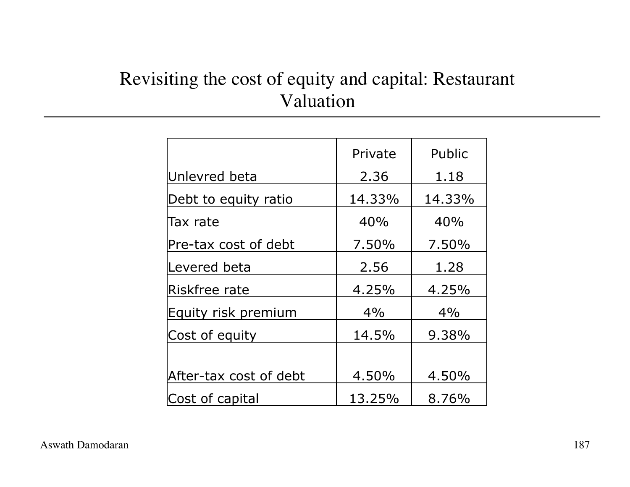### Revisiting the cost of equity and capital: Restaurant Valuation

|                        | Private | Public |
|------------------------|---------|--------|
| Unlevred beta          | 2.36    | 1.18   |
| Debt to equity ratio   | 14.33%  | 14.33% |
| Tax rate               | 40%     | 40%    |
| Pre-tax cost of debt   | 7.50%   | 7.50%  |
| Levered beta           | 2.56    | 1.28   |
| Riskfree rate          | 4.25%   | 4.25%  |
| Equity risk premium    | 4%      | 4%     |
| Cost of equity         | 14.5%   | 9.38%  |
|                        |         |        |
| After-tax cost of debt | 4.50%   | 4.50%  |
| Cost of capital        | 13.25%  | 8.76%  |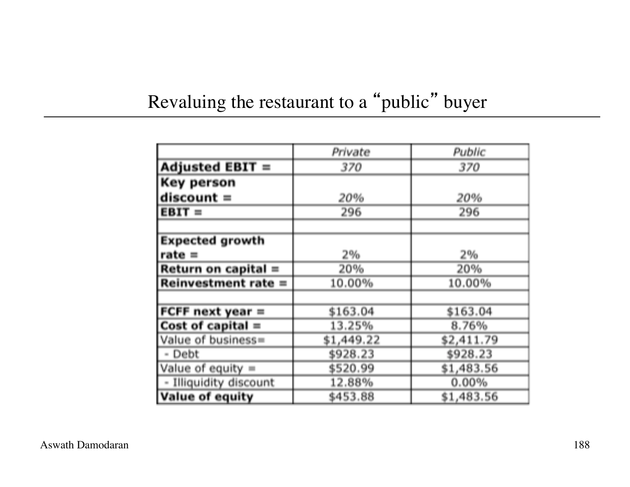## Revaluing the restaurant to a "public" buyer

|                        | Private    | Public     |
|------------------------|------------|------------|
| <b>Adjusted EBIT =</b> | 370        | 370        |
| Key person             |            |            |
| $discount =$           | 20%        | 20%        |
| $EBIT =$               | 296        | 296        |
|                        |            |            |
| <b>Expected growth</b> |            |            |
| $rate =$               | 2%         | 2%         |
| Return on capital =    | 20%        | 20%        |
| Reinvestment rate =    | 10.00%     | 10.00%     |
|                        |            |            |
| FCFF next year $=$     | \$163.04   | \$163.04   |
| Cost of capital $=$    | 13.25%     | 8.76%      |
| Value of business=     | \$1,449.22 | \$2,411.79 |
| - Debt                 | \$928.23   | \$928.23   |
| Value of equity $=$    | \$520.99   | \$1,483.56 |
| - Illiquidity discount | 12.88%     | 0.00%      |
| <b>Value of equity</b> | \$453.88   | \$1,483.56 |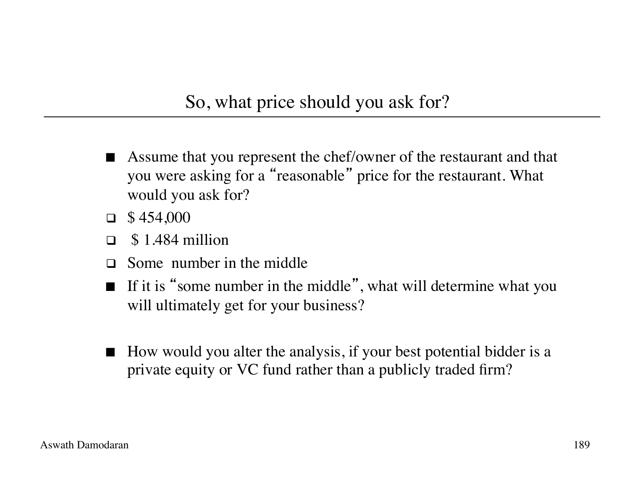#### So, what price should you ask for?

- Assume that you represent the chef/owner of the restaurant and that you were asking for a "reasonable" price for the restaurant. What would you ask for?
- $\Box$  \$454,000
- $\Box$  \$1.484 million
- $\Box$  Some number in the middle
- If it is "some number in the middle", what will determine what you will ultimately get for your business?
- $\blacksquare$  How would you alter the analysis, if your best potential bidder is a private equity or VC fund rather than a publicly traded firm?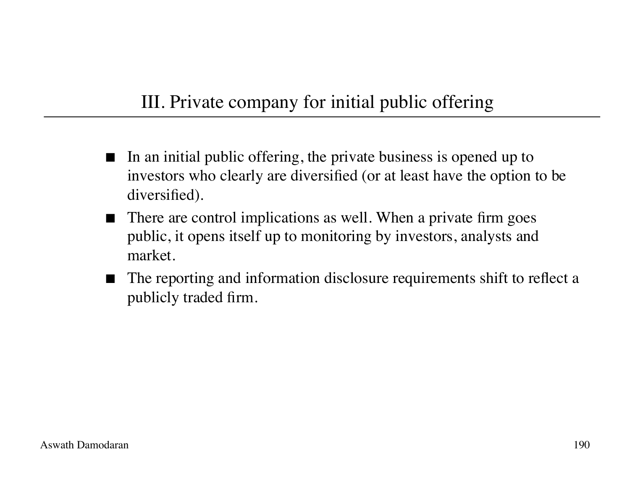### III. Private company for initial public offering

- In an initial public offering, the private business is opened up to investors who clearly are diversified (or at least have the option to be diversified).
- There are control implications as well. When a private firm goes public, it opens itself up to monitoring by investors, analysts and market.
- The reporting and information disclosure requirements shift to reflect a publicly traded firm.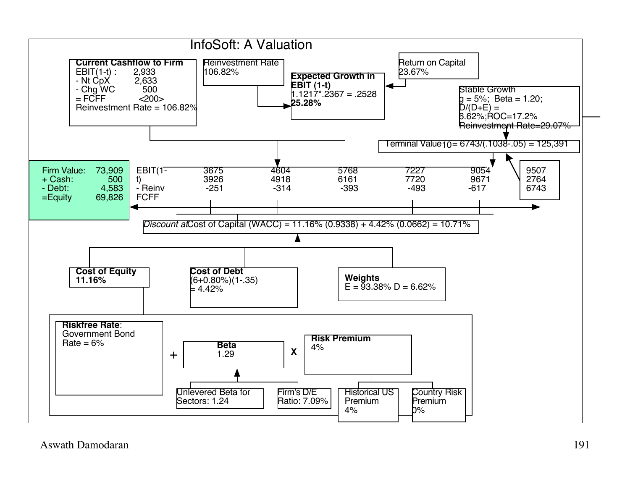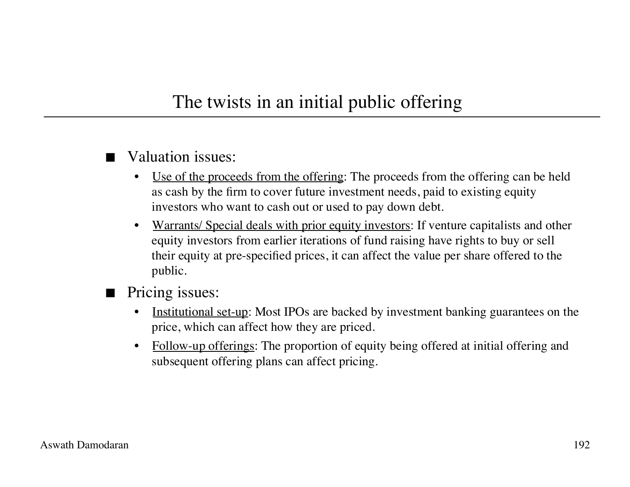#### The twists in an initial public offering

- Valuation issues:
	- Use of the proceeds from the offering: The proceeds from the offering can be held as cash by the firm to cover future investment needs, paid to existing equity investors who want to cash out or used to pay down debt.
	- Warrants/ Special deals with prior equity investors: If venture capitalists and other equity investors from earlier iterations of fund raising have rights to buy or sell their equity at pre-specified prices, it can affect the value per share offered to the public.
- Pricing issues:
	- Institutional set-up: Most IPOs are backed by investment banking guarantees on the price, which can affect how they are priced.
	- Follow-up offerings: The proportion of equity being offered at initial offering and subsequent offering plans can affect pricing.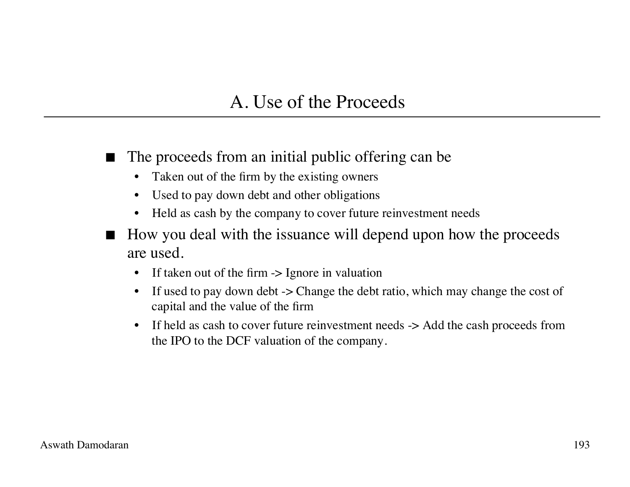#### A. Use of the Proceeds

- The proceeds from an initial public offering can be
	- Taken out of the firm by the existing owners
	- Used to pay down debt and other obligations
	- Held as cash by the company to cover future reinvestment needs
- How you deal with the issuance will depend upon how the proceeds are used.
	- If taken out of the firm  $\rightarrow$  Ignore in valuation
	- If used to pay down debt -> Change the debt ratio, which may change the cost of capital and the value of the firm
	- If held as cash to cover future reinvestment needs  $\rightarrow$  Add the cash proceeds from the IPO to the DCF valuation of the company.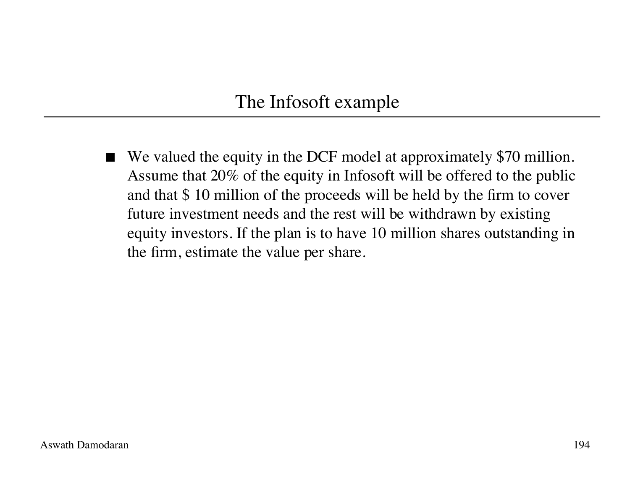#### The Infosoft example

■ We valued the equity in the DCF model at approximately \$70 million. Assume that 20% of the equity in Infosoft will be offered to the public and that \$ 10 million of the proceeds will be held by the firm to cover future investment needs and the rest will be withdrawn by existing equity investors. If the plan is to have 10 million shares outstanding in the firm, estimate the value per share.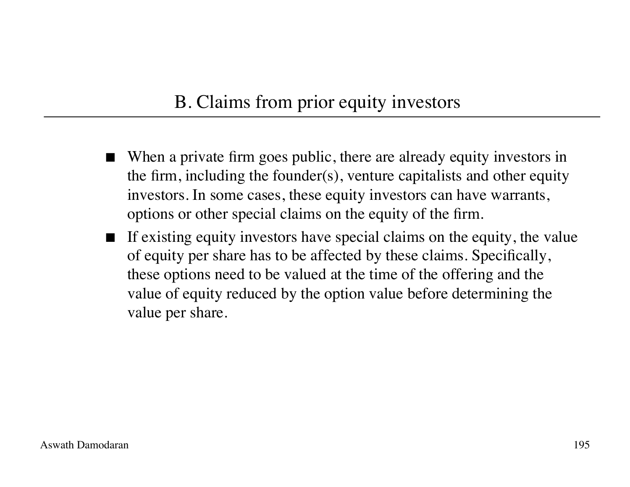### B. Claims from prior equity investors

- When a private firm goes public, there are already equity investors in the firm, including the founder(s), venture capitalists and other equity investors. In some cases, these equity investors can have warrants, options or other special claims on the equity of the firm.
- $\blacksquare$  If existing equity investors have special claims on the equity, the value of equity per share has to be affected by these claims. Specifically, these options need to be valued at the time of the offering and the value of equity reduced by the option value before determining the value per share.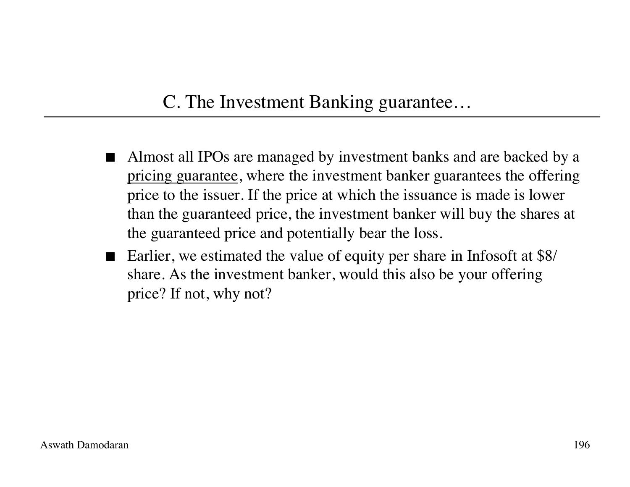### C. The Investment Banking guarantee…

- Almost all IPOs are managed by investment banks and are backed by a pricing guarantee, where the investment banker guarantees the offering price to the issuer. If the price at which the issuance is made is lower than the guaranteed price, the investment banker will buy the shares at the guaranteed price and potentially bear the loss.
- Earlier, we estimated the value of equity per share in Infosoft at \$8/ share. As the investment banker, would this also be your offering price? If not, why not?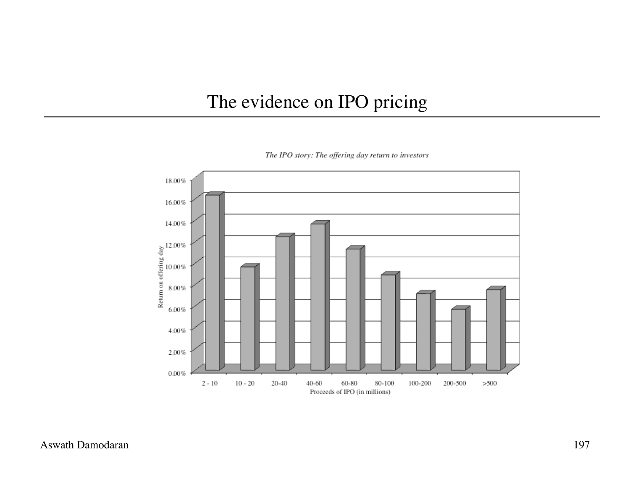#### The evidence on IPO pricing



The IPO story: The offering day return to investors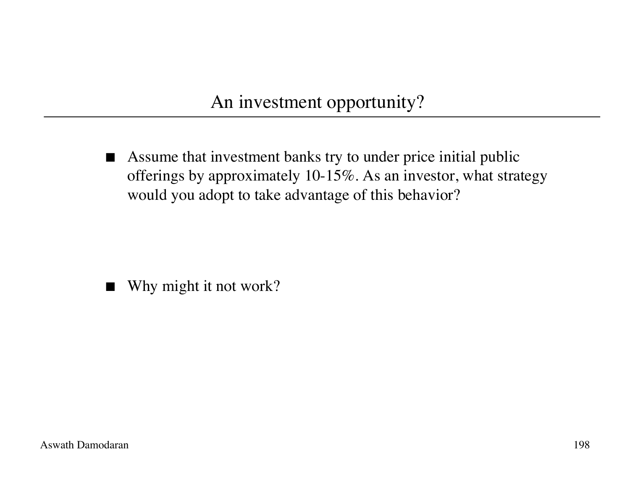An investment opportunity?

 Assume that investment banks try to under price initial public offerings by approximately 10-15%. As an investor, what strategy would you adopt to take advantage of this behavior?

■ Why might it not work?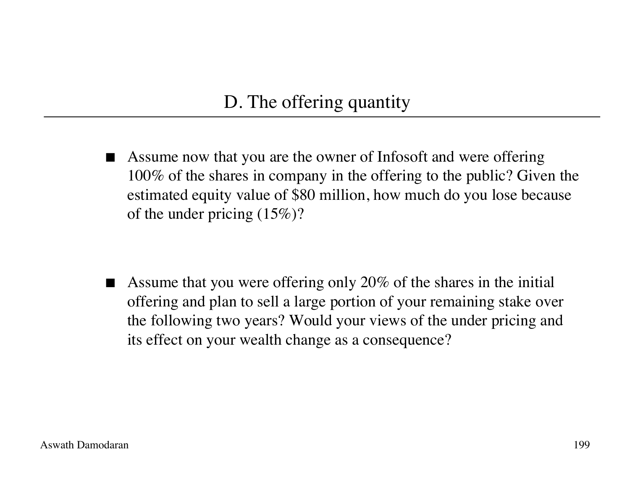### D. The offering quantity

 Assume now that you are the owner of Infosoft and were offering 100% of the shares in company in the offering to the public? Given the estimated equity value of \$80 million, how much do you lose because of the under pricing (15%)?

 Assume that you were offering only 20% of the shares in the initial offering and plan to sell a large portion of your remaining stake over the following two years? Would your views of the under pricing and its effect on your wealth change as a consequence?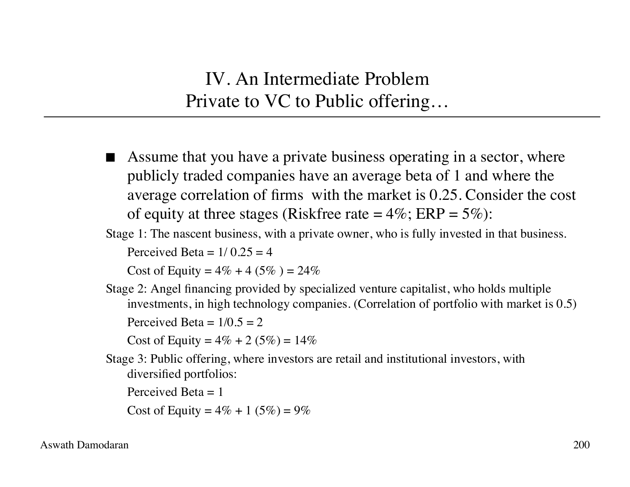IV. An Intermediate Problem Private to VC to Public offering…

 Assume that you have a private business operating in a sector, where publicly traded companies have an average beta of 1 and where the average correlation of firms with the market is 0.25. Consider the cost of equity at three stages (Riskfree rate  $= 4\%$ ; ERP  $= 5\%$ ):

Stage 1: The nascent business, with a private owner, who is fully invested in that business.

Perceived Beta  $= 1/0.25 = 4$ 

Cost of Equity =  $4\% + 4(5\%) = 24\%$ 

Stage 2: Angel financing provided by specialized venture capitalist, who holds multiple investments, in high technology companies. (Correlation of portfolio with market is 0.5) Perceived Beta =  $1/0.5 = 2$ 

Cost of Equity =  $4\% + 2(5\%) = 14\%$ 

Stage 3: Public offering, where investors are retail and institutional investors, with diversified portfolios:

Perceived Beta  $= 1$ 

Cost of Equity =  $4\% + 1(5\%) = 9\%$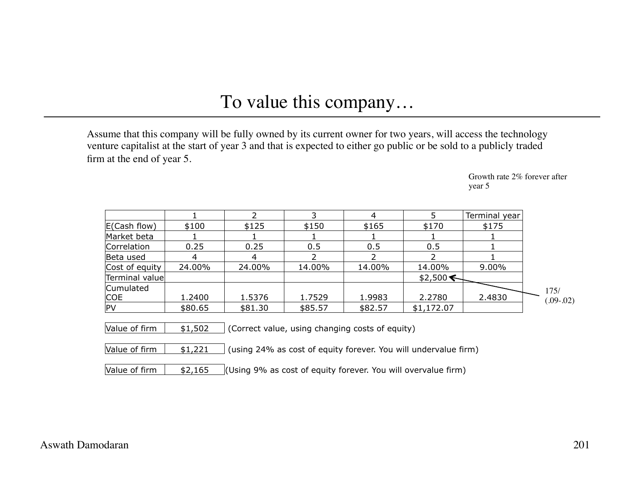#### To value this company…

Assume that this company will be fully owned by its current owner for two years, will access the technology venture capitalist at the start of year 3 and that is expected to either go public or be sold to a publicly traded firm at the end of year 5.

> Growth rate 2% forever after year 5

| \$100   |         |         |         |            | Terminal year                                   |
|---------|---------|---------|---------|------------|-------------------------------------------------|
|         | \$125   | \$150   | \$165   | \$170      | \$175                                           |
|         |         |         |         |            |                                                 |
| 0.25    | 0.25    | 0.5     | 0.5     | 0.5        |                                                 |
| 4       | 4       |         |         | າ          |                                                 |
| 24.00%  | 24.00%  | 14.00%  | 14.00%  | 14.00%     | 9.00%                                           |
|         |         |         |         | \$2,500    |                                                 |
|         |         |         |         |            |                                                 |
| 1.2400  | 1.5376  | 1.7529  | 1.9983  | 2.2780     | 2.4830                                          |
| \$80.65 | \$81.30 | \$85.57 | \$82.57 | \$1,172.07 |                                                 |
|         |         |         |         |            |                                                 |
| \$1,502 |         |         |         |            |                                                 |
|         |         |         |         |            | (Correct value, using changing costs of equity) |

Value of firm  $\begin{bmatrix} 1,221 \end{bmatrix}$  (using 24% as cost of equity forever. You will undervalue firm)

Value of firm  $\frac{1}{2}$ ,165 (Using 9% as cost of equity forever. You will overvalue firm)